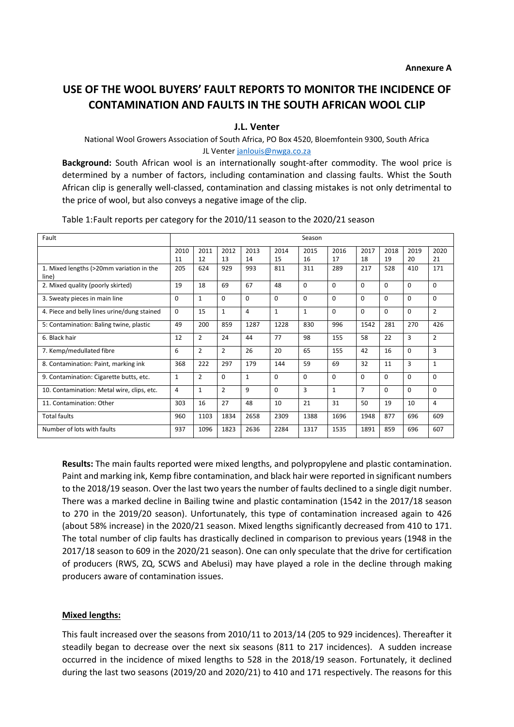# **USE OF THE WOOL BUYERS' FAULT REPORTS TO MONITOR THE INCIDENCE OF CONTAMINATION AND FAULTS IN THE SOUTH AFRICAN WOOL CLIP**

**J.L. Venter**

National Wool Growers Association of South Africa, PO Box 4520, Bloemfontein 9300, South Africa JL Vente[r janlouis@nwga.co.za](mailto:jlventer@intekom.co.za)

**Background:** South African wool is an internationally sought-after commodity. The wool price is determined by a number of factors, including contamination and classing faults. Whist the South African clip is generally well-classed, contamination and classing mistakes is not only detrimental to the price of wool, but also conveys a negative image of the clip.

| Fault                                             | Season       |                |                |              |              |              |              |                |            |            |                |
|---------------------------------------------------|--------------|----------------|----------------|--------------|--------------|--------------|--------------|----------------|------------|------------|----------------|
|                                                   | 2010<br>11   | 2011<br>12     | 2012<br>13     | 2013<br>14   | 2014<br>15   | 2015<br>16   | 2016<br>17   | 2017<br>18     | 2018<br>19 | 2019<br>20 | 2020<br>21     |
| 1. Mixed lengths (>20mm variation in the<br>line) | 205          | 624            | 929            | 993          | 811          | 311          | 289          | 217            | 528        | 410        | 171            |
| 2. Mixed quality (poorly skirted)                 | 19           | 18             | 69             | 67           | 48           | 0            | $\Omega$     | 0              | $\Omega$   | $\Omega$   | $\Omega$       |
| 3. Sweaty pieces in main line                     | 0            | $\mathbf{1}$   | $\Omega$       | $\Omega$     | $\Omega$     | 0            | $\Omega$     | 0              | $\Omega$   | $\Omega$   | $\Omega$       |
| 4. Piece and belly lines urine/dung stained       | $\Omega$     | 15             | $\mathbf{1}$   | 4            | $\mathbf{1}$ | $\mathbf{1}$ | $\Omega$     | $\Omega$       | $\Omega$   | $\Omega$   | $\overline{2}$ |
| 5: Contamination: Baling twine, plastic           | 49           | 200            | 859            | 1287         | 1228         | 830          | 996          | 1542           | 281        | 270        | 426            |
| 6. Black hair                                     | 12           | $\overline{2}$ | 24             | 44           | 77           | 98           | 155          | 58             | 22         | 3          | $\overline{2}$ |
| 7. Kemp/medullated fibre                          | 6            | $\overline{2}$ | $\overline{2}$ | 26           | 20           | 65           | 155          | 42             | 16         | $\Omega$   | 3              |
| 8. Contamination: Paint, marking ink              | 368          | 222            | 297            | 179          | 144          | 59           | 69           | 32             | 11         | 3          | $\mathbf{1}$   |
| 9. Contamination: Cigarette butts, etc.           | $\mathbf{1}$ | $\overline{2}$ | $\Omega$       | $\mathbf{1}$ | $\Omega$     | 0            | $\Omega$     | $\Omega$       | $\Omega$   | $\Omega$   | $\Omega$       |
| 10. Contamination: Metal wire, clips, etc.        | 4            | $\mathbf{1}$   | $\overline{2}$ | 9            | $\Omega$     | 3            | $\mathbf{1}$ | $\overline{7}$ | $\Omega$   | $\Omega$   | $\Omega$       |
| 11. Contamination: Other                          | 303          | 16             | 27             | 48           | 10           | 21           | 31           | 50             | 19         | 10         | $\overline{4}$ |
| <b>Total faults</b>                               | 960          | 1103           | 1834           | 2658         | 2309         | 1388         | 1696         | 1948           | 877        | 696        | 609            |
| Number of lots with faults                        | 937          | 1096           | 1823           | 2636         | 2284         | 1317         | 1535         | 1891           | 859        | 696        | 607            |

Table 1:Fault reports per category for the 2010/11 season to the 2020/21 season

**Results:** The main faults reported were mixed lengths, and polypropylene and plastic contamination. Paint and marking ink, Kemp fibre contamination, and black hair were reported in significant numbers to the 2018/19 season. Over the last two years the number of faults declined to a single digit number. There was a marked decline in Bailing twine and plastic contamination (1542 in the 2017/18 season to 270 in the 2019/20 season). Unfortunately, this type of contamination increased again to 426 (about 58% increase) in the 2020/21 season. Mixed lengths significantly decreased from 410 to 171. The total number of clip faults has drastically declined in comparison to previous years (1948 in the 2017/18 season to 609 in the 2020/21 season). One can only speculate that the drive for certification of producers (RWS, ZQ, SCWS and Abelusi) may have played a role in the decline through making producers aware of contamination issues.

#### **Mixed lengths:**

This fault increased over the seasons from 2010/11 to 2013/14 (205 to 929 incidences). Thereafter it steadily began to decrease over the next six seasons (811 to 217 incidences). A sudden increase occurred in the incidence of mixed lengths to 528 in the 2018/19 season. Fortunately, it declined during the last two seasons (2019/20 and 2020/21) to 410 and 171 respectively. The reasons for this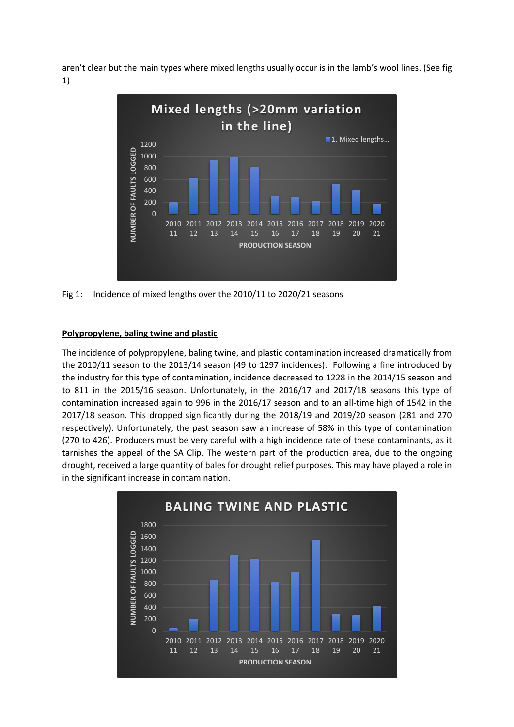aren't clear but the main types where mixed lengths usually occur is in the lamb's wool lines. (See fig 1)



Fig 1: Incidence of mixed lengths over the 2010/11 to 2020/21 seasons

#### **Polypropylene, baling twine and plastic**

The incidence of polypropylene, baling twine, and plastic contamination increased dramatically from the 2010/11 season to the 2013/14 season (49 to 1297 incidences). Following a fine introduced by the industry for this type of contamination, incidence decreased to 1228 in the 2014/15 season and to 811 in the 2015/16 season. Unfortunately, in the 2016/17 and 2017/18 seasons this type of contamination increased again to 996 in the 2016/17 season and to an all-time high of 1542 in the 2017/18 season. This dropped significantly during the 2018/19 and 2019/20 season (281 and 270 respectively). Unfortunately, the past season saw an increase of 58% in this type of contamination (270 to 426). Producers must be very careful with a high incidence rate of these contaminants, as it tarnishes the appeal of the SA Clip. The western part of the production area, due to the ongoing drought, received a large quantity of bales for drought relief purposes. This may have played a role in in the significant increase in contamination.

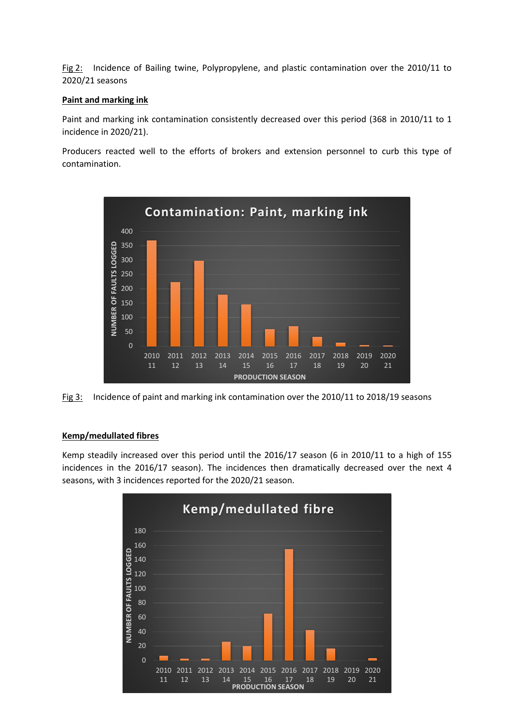Fig 2: Incidence of Bailing twine, Polypropylene, and plastic contamination over the 2010/11 to 2020/21 seasons

### **Paint and marking ink**

Paint and marking ink contamination consistently decreased over this period (368 in 2010/11 to 1 incidence in 2020/21).

Producers reacted well to the efforts of brokers and extension personnel to curb this type of contamination.



Fig 3: Incidence of paint and marking ink contamination over the 2010/11 to 2018/19 seasons

# **Kemp/medullated fibres**

Kemp steadily increased over this period until the 2016/17 season (6 in 2010/11 to a high of 155 incidences in the 2016/17 season). The incidences then dramatically decreased over the next 4 seasons, with 3 incidences reported for the 2020/21 season.